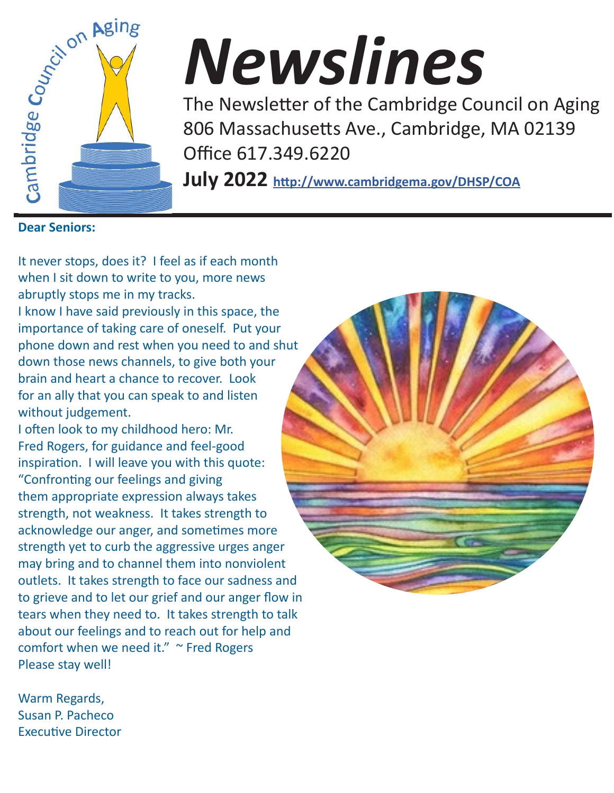

# *Newslines*

The Newsletter of the Cambridge Council on Aging 806 Massachusetts Ave., Cambridge, MA 02139 Office 617.349.6220

**July 2022 http://www.cambridgema.gov/DHSP/COA**

It never stops, does it? I feel as if each month when I sit down to write to you, more news abruptly stops me in my tracks.

I know I have said previously in this space, the importance of taking care of oneself. Put your phone down and rest when you need to and shut down those news channels, to give both your brain and heart a chance to recover. Look for an ally that you can speak to and listen without judgement.

I often look to my childhood hero: Mr. Fred Rogers, for guidance and feel-good inspiration. I will leave you with this quote: "Confronting our feelings and giving them appropriate expression always takes strength, not weakness. It takes strength to acknowledge our anger, and sometimes more strength yet to curb the aggressive urges anger may bring and to channel them into nonviolent outlets. It takes strength to face our sadness and to grieve and to let our grief and our anger flow in tears when they need to. It takes strength to talk about our feelings and to reach out for help and comfort when we need it." ~ Fred Rogers Please stay well!

Warm Regards, Susan P. Pacheco Executive Director

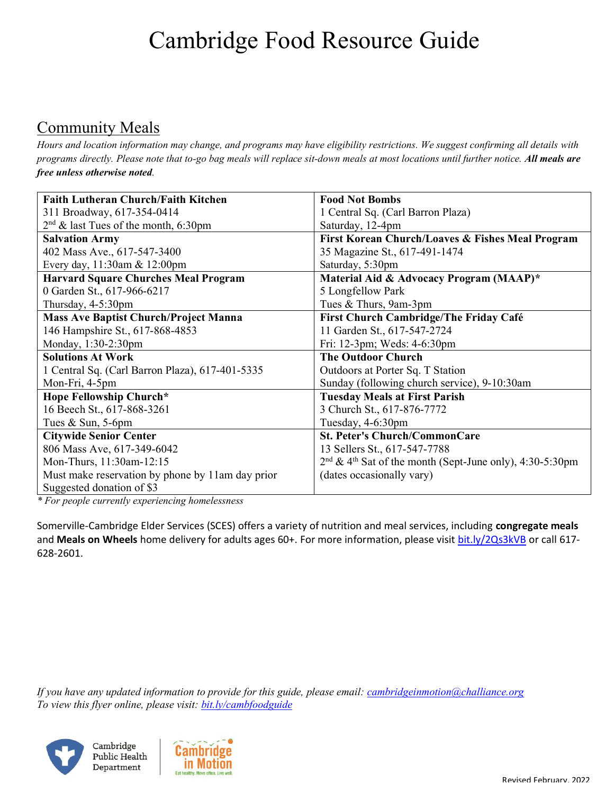## Cambridge Food Resource Guide

#### Community Meals

*Hours and location information may change, and programs may have eligibility restrictions. We suggest confirming all details with programs directly. Please note that to-go bag meals will replace sit-down meals at most locations until further notice. All meals are free unless otherwise noted.*

| <b>Faith Lutheran Church/Faith Kitchen</b>       | <b>Food Not Bombs</b>                                                  |  |  |  |
|--------------------------------------------------|------------------------------------------------------------------------|--|--|--|
| 311 Broadway, 617-354-0414                       | 1 Central Sq. (Carl Barron Plaza)                                      |  |  |  |
| $2nd$ & last Tues of the month, 6:30pm           | Saturday, 12-4pm                                                       |  |  |  |
| <b>Salvation Army</b>                            | First Korean Church/Loaves & Fishes Meal Program                       |  |  |  |
| 402 Mass Ave., 617-547-3400                      | 35 Magazine St., 617-491-1474                                          |  |  |  |
| Every day, 11:30am & 12:00pm                     | Saturday, 5:30pm                                                       |  |  |  |
| <b>Harvard Square Churches Meal Program</b>      | Material Aid & Advocacy Program (MAAP)*                                |  |  |  |
| 0 Garden St., 617-966-6217                       | 5 Longfellow Park                                                      |  |  |  |
| Thursday, 4-5:30pm                               | Tues & Thurs, 9am-3pm                                                  |  |  |  |
| <b>Mass Ave Baptist Church/Project Manna</b>     | First Church Cambridge/The Friday Café                                 |  |  |  |
| 146 Hampshire St., 617-868-4853                  | 11 Garden St., 617-547-2724                                            |  |  |  |
| Monday, 1:30-2:30pm                              | Fri: 12-3pm; Weds: 4-6:30pm                                            |  |  |  |
| <b>Solutions At Work</b>                         | <b>The Outdoor Church</b>                                              |  |  |  |
| 1 Central Sq. (Carl Barron Plaza), 617-401-5335  | Outdoors at Porter Sq. T Station                                       |  |  |  |
| Mon-Fri, 4-5pm                                   | Sunday (following church service), 9-10:30am                           |  |  |  |
| Hope Fellowship Church*                          | <b>Tuesday Meals at First Parish</b>                                   |  |  |  |
| 16 Beech St., 617-868-3261                       | 3 Church St., 617-876-7772                                             |  |  |  |
| Tues & Sun, 5-6pm                                | Tuesday, 4-6:30pm                                                      |  |  |  |
| <b>Citywide Senior Center</b>                    | <b>St. Peter's Church/CommonCare</b>                                   |  |  |  |
| 806 Mass Ave, 617-349-6042                       | 13 Sellers St., 617-547-7788                                           |  |  |  |
| Mon-Thurs, 11:30am-12:15                         | $2nd$ & 4 <sup>th</sup> Sat of the month (Sept-June only), 4:30-5:30pm |  |  |  |
| Must make reservation by phone by 11am day prior | (dates occasionally vary)                                              |  |  |  |
| Suggested donation of \$3                        |                                                                        |  |  |  |

*\* For people currently experiencing homelessness*

Somerville-Cambridge Elder Services (SCES) offers a variety of nutrition and meal services, including **congregate meals** and Meals on Wheels home delivery for adults ages 60+. For more information, please visit bit.ly/2Qs3kVB or call 617-628-2601.

*If you have any updated information to provide for this guide, please email: cambridgeinmotion@challiance.org To view this flyer online, please visit: bit.ly/cambfoodguide*

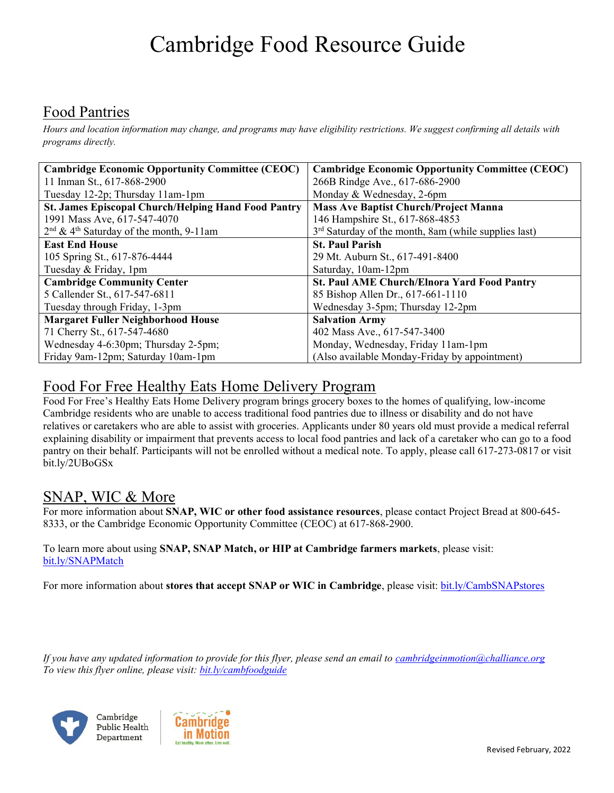## Cambridge Food Resource Guide

#### Food Pantries

*Hours and location information may change, and programs may have eligibility restrictions. We suggest confirming all details with programs directly.*

| <b>Cambridge Economic Opportunity Committee (CEOC)</b>     | <b>Cambridge Economic Opportunity Committee (CEOC)</b> |  |  |  |  |
|------------------------------------------------------------|--------------------------------------------------------|--|--|--|--|
| 11 Inman St., 617-868-2900                                 | 266B Rindge Ave., 617-686-2900                         |  |  |  |  |
| Tuesday 12-2p; Thursday 11am-1pm                           | Monday & Wednesday, 2-6pm                              |  |  |  |  |
| <b>St. James Episcopal Church/Helping Hand Food Pantry</b> | <b>Mass Ave Baptist Church/Project Manna</b>           |  |  |  |  |
| 1991 Mass Ave, 617-547-4070                                | 146 Hampshire St., 617-868-4853                        |  |  |  |  |
| $2nd$ & 4 <sup>th</sup> Saturday of the month, 9-11am      | $3rd$ Saturday of the month, 8am (while supplies last) |  |  |  |  |
| <b>East End House</b>                                      | <b>St. Paul Parish</b>                                 |  |  |  |  |
| 105 Spring St., 617-876-4444                               | 29 Mt. Auburn St., 617-491-8400                        |  |  |  |  |
| Tuesday & Friday, 1pm                                      | Saturday, 10am-12pm                                    |  |  |  |  |
| <b>Cambridge Community Center</b>                          | <b>St. Paul AME Church/Elnora Yard Food Pantry</b>     |  |  |  |  |
| 5 Callender St., 617-547-6811                              | 85 Bishop Allen Dr., 617-661-1110                      |  |  |  |  |
| Tuesday through Friday, 1-3pm                              | Wednesday 3-5pm; Thursday 12-2pm                       |  |  |  |  |
| <b>Margaret Fuller Neighborhood House</b>                  | <b>Salvation Army</b>                                  |  |  |  |  |
| 71 Cherry St., 617-547-4680                                | 402 Mass Ave., 617-547-3400                            |  |  |  |  |
| Wednesday 4-6:30pm; Thursday 2-5pm;                        | Monday, Wednesday, Friday 11am-1pm                     |  |  |  |  |
| Friday 9am-12pm; Saturday 10am-1pm                         | (Also available Monday-Friday by appointment)          |  |  |  |  |

#### Food For Free Healthy Eats Home Delivery Program

Food For Free's Healthy Eats Home Delivery program brings grocery boxes to the homes of qualifying, low-income Cambridge residents who are unable to access traditional food pantries due to illness or disability and do not have relatives or caretakers who are able to assist with groceries. Applicants under 80 years old must provide a medical referral explaining disability or impairment that prevents access to local food pantries and lack of a caretaker who can go to a food pantry on their behalf. Participants will not be enrolled without a medical note. To apply, please call 617-273-0817 or visit bit.ly/2UBoGSx

#### SNAP, WIC & More

For more information about **SNAP, WIC or other food assistance resources**, please contact Project Bread at 800-645- 8333, or the Cambridge Economic Opportunity Committee (CEOC) at 617-868-2900.

#### To learn more about using **SNAP, SNAP Match, or HIP at Cambridge farmers markets**, please visit: bit.ly/SNAPMatch

For more information about **stores that accept SNAP or WIC in Cambridge**, please visit: bit.ly/CambSNAPstores

*If you have any updated information to provide for this flyer, please send an email to cambridgeinmotion@challiance.org To view this flyer online, please visit: bit.ly/cambfoodguide*





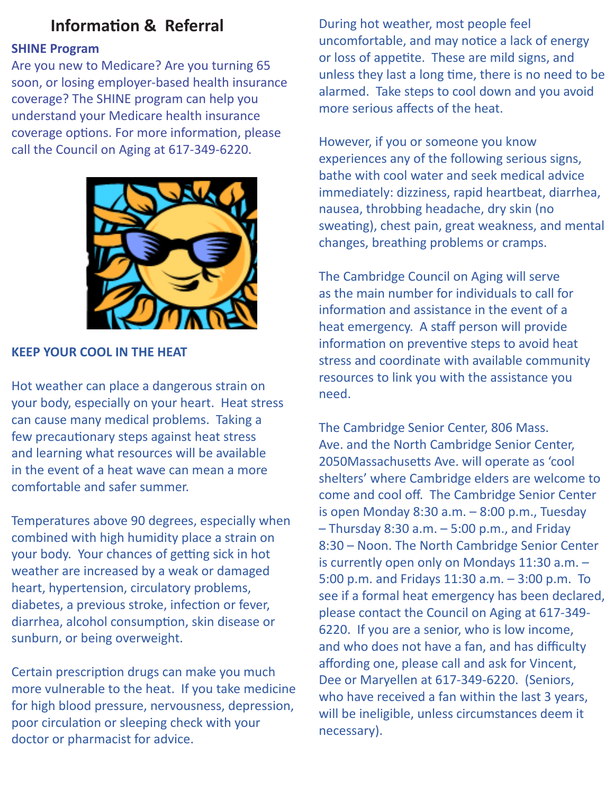#### **Information & Referral**

#### **SHINE Program**

Are you new to Medicare? Are you turning 65 soon, or losing employer-based health insurance coverage? The SHINE program can help you understand your Medicare health insurance coverage options. For more information, please call the Council on Aging at 617-349-6220.



#### **KEEP YOUR COOL IN THE HEAT**

Hot weather can place a dangerous strain on your body, especially on your heart. Heat stress can cause many medical problems. Taking a few precautionary steps against heat stress and learning what resources will be available in the event of a heat wave can mean a more comfortable and safer summer.

Temperatures above 90 degrees, especially when combined with high humidity place a strain on your body. Your chances of getting sick in hot weather are increased by a weak or damaged heart, hypertension, circulatory problems, diabetes, a previous stroke, infection or fever, diarrhea, alcohol consumption, skin disease or sunburn, or being overweight.

Certain prescription drugs can make you much more vulnerable to the heat. If you take medicine for high blood pressure, nervousness, depression, poor circulation or sleeping check with your doctor or pharmacist for advice.

During hot weather, most people feel uncomfortable, and may notice a lack of energy or loss of appetite. These are mild signs, and unless they last a long time, there is no need to be alarmed. Take steps to cool down and you avoid more serious affects of the heat.

However, if you or someone you know experiences any of the following serious signs, bathe with cool water and seek medical advice immediately: dizziness, rapid heartbeat, diarrhea, nausea, throbbing headache, dry skin (no sweating), chest pain, great weakness, and mental changes, breathing problems or cramps.

The Cambridge Council on Aging will serve as the main number for individuals to call for information and assistance in the event of a heat emergency. A staff person will provide information on preventive steps to avoid heat stress and coordinate with available community resources to link you with the assistance you need.

The Cambridge Senior Center, 806 Mass. Ave. and the North Cambridge Senior Center, 2050Massachusetts Ave. will operate as 'cool shelters' where Cambridge elders are welcome to come and cool off. The Cambridge Senior Center is open Monday 8:30 a.m. – 8:00 p.m., Tuesday – Thursday 8:30 a.m. – 5:00 p.m., and Friday 8:30 – Noon. The North Cambridge Senior Center is currently open only on Mondays 11:30 a.m. – 5:00 p.m. and Fridays 11:30 a.m. – 3:00 p.m. To see if a formal heat emergency has been declared, please contact the Council on Aging at 617-349- 6220. If you are a senior, who is low income, and who does not have a fan, and has difficulty affording one, please call and ask for Vincent, Dee or Maryellen at 617-349-6220. (Seniors, who have received a fan within the last 3 years, will be ineligible, unless circumstances deem it necessary).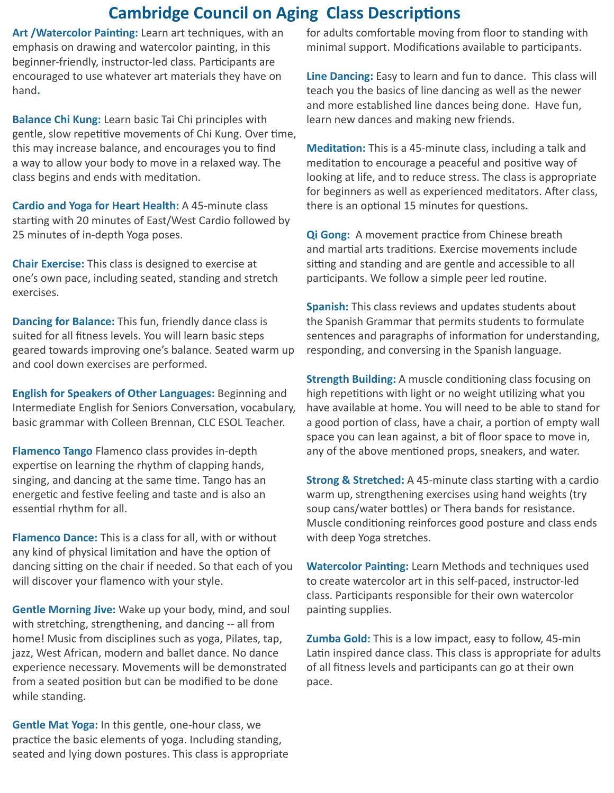#### **Cambridge Council on Aging Class Descriptions**

**Art /Watercolor Painting:** Learn art techniques, with an emphasis on drawing and watercolor painting, in this beginner-friendly, instructor-led class. Participants are encouraged to use whatever art materials they have on hand**.**

**Balance Chi Kung:** Learn basic Tai Chi principles with gentle, slow repetitive movements of Chi Kung. Over time, this may increase balance, and encourages you to find a way to allow your body to move in a relaxed way. The class begins and ends with meditation.

**Cardio and Yoga for Heart Health:** A 45-minute class starting with 20 minutes of East/West Cardio followed by 25 minutes of in-depth Yoga poses.

**Chair Exercise:** This class is designed to exercise at one's own pace, including seated, standing and stretch exercises.

**Dancing for Balance:** This fun, friendly dance class is suited for all fitness levels. You will learn basic steps geared towards improving one's balance. Seated warm up and cool down exercises are performed.

**English for Speakers of Other Languages:** Beginning and Intermediate English for Seniors Conversation, vocabulary, basic grammar with Colleen Brennan, CLC ESOL Teacher.

**Flamenco Tango** Flamenco class provides in-depth expertise on learning the rhythm of clapping hands, singing, and dancing at the same time. Tango has an energetic and festive feeling and taste and is also an essential rhythm for all.

**Flamenco Dance:** This is a class for all, with or without any kind of physical limitation and have the option of dancing sitting on the chair if needed. So that each of you will discover your flamenco with your style.

**Gentle Morning Jive:** Wake up your body, mind, and soul with stretching, strengthening, and dancing -- all from home! Music from disciplines such as yoga, Pilates, tap, jazz, West African, modern and ballet dance. No dance experience necessary. Movements will be demonstrated from a seated position but can be modified to be done while standing.

**Gentle Mat Yoga:** In this gentle, one-hour class, we practice the basic elements of yoga. Including standing, seated and lying down postures. This class is appropriate for adults comfortable moving from floor to standing with minimal support. Modifications available to participants.

**Line Dancing:** Easy to learn and fun to dance. This class will teach you the basics of line dancing as well as the newer and more established line dances being done. Have fun, learn new dances and making new friends.

**Meditation:** This is a 45-minute class, including a talk and meditation to encourage a peaceful and positive way of looking at life, and to reduce stress. The class is appropriate for beginners as well as experienced meditators. After class, there is an optional 15 minutes for questions**.** 

**Qi Gong:** A movement practice from Chinese breath and martial arts traditions. Exercise movements include sitting and standing and are gentle and accessible to all participants. We follow a simple peer led routine.

**Spanish:** This class reviews and updates students about the Spanish Grammar that permits students to formulate sentences and paragraphs of information for understanding, responding, and conversing in the Spanish language.

**Strength Building:** A muscle conditioning class focusing on high repetitions with light or no weight utilizing what you have available at home. You will need to be able to stand for a good portion of class, have a chair, a portion of empty wall space you can lean against, a bit of floor space to move in, any of the above mentioned props, sneakers, and water.

**Strong & Stretched:** A 45-minute class starting with a cardio warm up, strengthening exercises using hand weights (try soup cans/water bottles) or Thera bands for resistance. Muscle conditioning reinforces good posture and class ends with deep Yoga stretches.

**Watercolor Painting:** Learn Methods and techniques used to create watercolor art in this self-paced, instructor-led class. Participants responsible for their own watercolor painting supplies.

**Zumba Gold:** This is a low impact, easy to follow, 45-min Latin inspired dance class. This class is appropriate for adults of all fitness levels and participants can go at their own pace.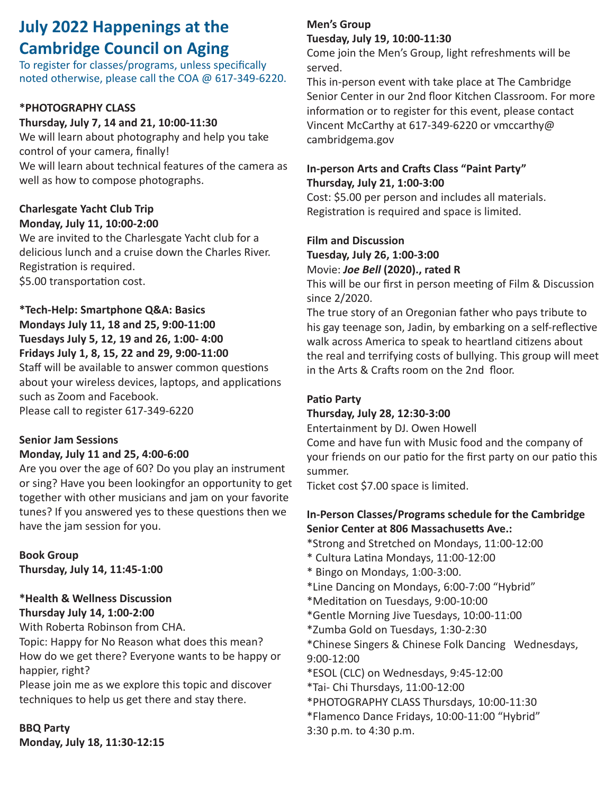### **July 2022 Happenings at the Cambridge Council on Aging**

To register for classes/programs, unless specifically noted otherwise, please call the COA @ 617-349-6220.

#### **\*PHOTOGRAPHY CLASS**

#### **Thursday, July 7, 14 and 21, 10:00-11:30**

We will learn about photography and help you take control of your camera, finally! We will learn about technical features of the camera as well as how to compose photographs.

#### **Charlesgate Yacht Club Trip Monday, July 11, 10:00-2:00**

We are invited to the Charlesgate Yacht club for a delicious lunch and a cruise down the Charles River. Registration is required. \$5.00 transportation cost.

#### **\*Tech-Help: Smartphone Q&A: Basics Mondays July 11, 18 and 25, 9:00-11:00 Tuesdays July 5, 12, 19 and 26, 1:00- 4:00 Fridays July 1, 8, 15, 22 and 29, 9:00-11:00**

Staff will be available to answer common questions about your wireless devices, laptops, and applications such as Zoom and Facebook. Please call to register 617-349-6220

#### **Senior Jam Sessions**

#### **Monday, July 11 and 25, 4:00-6:00**

Are you over the age of 60? Do you play an instrument or sing? Have you been lookingfor an opportunity to get together with other musicians and jam on your favorite tunes? If you answered yes to these questions then we have the jam session for you.

#### **Book Group**

**Thursday, July 14, 11:45-1:00**

#### **\*Health & Wellness Discussion Thursday July 14, 1:00-2:00**

With Roberta Robinson from CHA.

Topic: Happy for No Reason what does this mean? How do we get there? Everyone wants to be happy or happier, right?

Please join me as we explore this topic and discover techniques to help us get there and stay there.

**BBQ Party Monday, July 18, 11:30-12:15**

#### **Men's Group Tuesday, July 19, 10:00-11:30**

Come join the Men's Group, light refreshments will be served.

This in-person event with take place at The Cambridge Senior Center in our 2nd floor Kitchen Classroom. For more information or to register for this event, please contact Vincent McCarthy at 617-349-6220 or vmccarthy@ cambridgema.gov

#### **In-person Arts and Crafts Class "Paint Party" Thursday, July 21, 1:00-3:00**

Cost: \$5.00 per person and includes all materials. Registration is required and space is limited.

#### **Film and Discussion Tuesday, July 26, 1:00-3:00** Movie: *Joe Bell* **(2020)., rated R**

This will be our first in person meeting of Film & Discussion since 2/2020.

The true story of an Oregonian father who pays tribute to his gay teenage son, Jadin, by embarking on a self-reflective walk across America to speak to heartland citizens about the real and terrifying costs of bullying. This group will meet in the Arts & Crafts room on the 2nd floor.

#### **Patio Party**

#### **Thursday, July 28, 12:30-3:00**

Entertainment by DJ. Owen Howell

Come and have fun with Music food and the company of your friends on our patio for the first party on our patio this summer.

Ticket cost \$7.00 space is limited.

#### **In-Person Classes/Programs schedule for the Cambridge Senior Center at 806 Massachusetts Ave.:**

- \*Strong and Stretched on Mondays, 11:00-12:00
- \* Cultura Latina Mondays, 11:00-12:00
- \* Bingo on Mondays, 1:00-3:00.
- \*Line Dancing on Mondays, 6:00-7:00 "Hybrid"
- \*Meditation on Tuesdays, 9:00-10:00
- \*Gentle Morning Jive Tuesdays, 10:00-11:00
- \*Zumba Gold on Tuesdays, 1:30-2:30
- \*Chinese Singers & Chinese Folk Dancing Wednesdays, 9:00-12:00
- \*ESOL (CLC) on Wednesdays, 9:45-12:00
- \*Tai- Chi Thursdays, 11:00-12:00
- \*PHOTOGRAPHY CLASS Thursdays, 10:00-11:30
- \*Flamenco Dance Fridays, 10:00-11:00 "Hybrid"
- 3:30 p.m. to 4:30 p.m.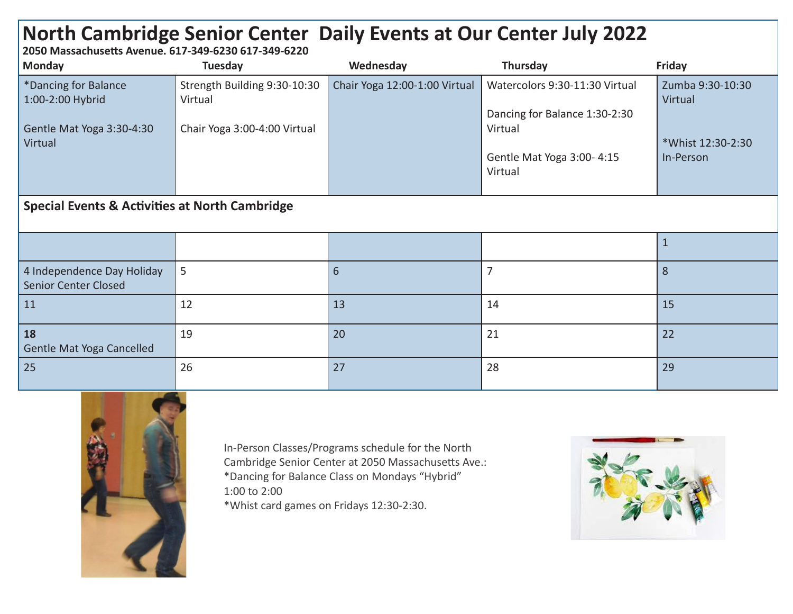## **North Cambridge Senior Center Daily Events at Our Center July 2022**

**2050 Massachusetts Avenue. 617-349-6230 617-349-6220**

| <b>Monday</b>                                             | Tuesday                                 | Wednesday                     | Thursday                                                        | <b>Friday</b>               |  |  |  |  |
|-----------------------------------------------------------|-----------------------------------------|-------------------------------|-----------------------------------------------------------------|-----------------------------|--|--|--|--|
| *Dancing for Balance<br>1:00-2:00 Hybrid                  | Strength Building 9:30-10:30<br>Virtual | Chair Yoga 12:00-1:00 Virtual | Watercolors 9:30-11:30 Virtual<br>Dancing for Balance 1:30-2:30 | Zumba 9:30-10:30<br>Virtual |  |  |  |  |
| Gentle Mat Yoga 3:30-4:30<br>Virtual                      | Chair Yoga 3:00-4:00 Virtual            |                               | Virtual                                                         | *Whist 12:30-2:30           |  |  |  |  |
|                                                           |                                         |                               | Gentle Mat Yoga 3:00-4:15<br>Virtual                            | In-Person                   |  |  |  |  |
| <b>Special Events &amp; Activities at North Cambridge</b> |                                         |                               |                                                                 |                             |  |  |  |  |
|                                                           |                                         |                               |                                                                 | $\mathbf{1}$                |  |  |  |  |
| 4 Independence Day Holiday<br><b>Senior Center Closed</b> | 5                                       | $6\phantom{1}6$               | $\overline{7}$                                                  | 8                           |  |  |  |  |
| 11                                                        | 12                                      | 13                            | 14                                                              | 15                          |  |  |  |  |
| 18<br>Gentle Mat Yoga Cancelled                           | 19                                      | 20                            | 21                                                              | 22                          |  |  |  |  |
| 25                                                        | 26                                      | 27                            | 28                                                              | 29                          |  |  |  |  |



In-Person Classes/Programs schedule for the North Cambridge Senior Center at 2050 Massachusetts Ave.: \*Dancing for Balance Class on Mondays "Hybrid" 1:00 to 2:00 \*Whist card games on Fridays 12:30-2:30.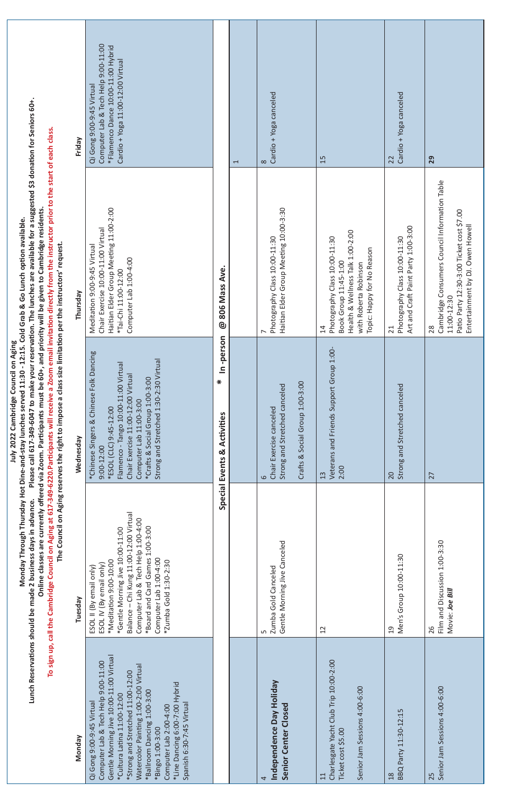| Computer Lab & Tech Help 9:00-11:00<br>*Flamenco Dance 10:00-11:00 Hybrid<br>Cardio + Yoga 11:00-12:00 Virtual<br>Qi Gong 9:00-9:45 Virtual<br>Please call 617-349-6047 to make your reservation. The lunches are available for a suggested \$3 donation for Seniors 60+.<br>To sign up, call the Cambridge Council on Aging at 617-349-6220. Participants will receive a Zoom email invitation directly from the instructor prior to the start of each class.<br>Friday<br>Haitian Elder Group Meeting 11:00-2:00<br>Online classes are currently offered via Zoom. Participants must be 60+, and priority will be given to Cambridge residents.<br>& Go Lunch option available.<br>Chair Exercise 10:00-11:00 Virtual<br>The Council on Aging reserves the right to impose a class size limitation per the instructors' request.<br>Meditation 9:00-9:45 Virtual<br>Computer Lab 1:00-4:00<br>*Tai-Chi 11:00-12:00<br>Thursday<br>Monday Through Thursday Hot Dine-and-stay lunches served 11:30 - 12:15. Cold Grab<br>July 2022 Cambridge Council on Aging<br>*Chinese Singers & Chinese Folk Dancing<br>Strong and Stretched 1:30-2:30 Virtual<br>Flamenco - Tango 10:00-11:00 Virtual<br>Chair Exercise 11:00-12:00 Virtual<br>*Crafts & Social Group 1:00-3:00<br>Computer Lab 11:00-3:00<br>*ESOL (CLC) 9:45-12:00<br>Wednesday<br>$9:00 - 12:00$<br>Lunch Reservations should be made 2 business days in advance.<br>Chi Kung 11:00-12:00 Virtual<br>Computer Lab & Tech Help 1:00-4:00<br>*Board and Card Games 1:00-3:00<br>*Gentle Morning Jive 10:00-11:00<br>Computer Lab 1:00-4:00<br>*Meditation 9:00-10:00<br>*Zumba Gold 1:30-2:30<br>ESOL IV (By email only)<br>email only)<br>Tuesday<br>ESOL II (By<br>Balance-<br>Gentle Morning Jive 10:00-11:00 Virtual<br>Computer Lab & Tech Help 9:00-11:00<br>Watercolor Painting 1:00-2:00 Virtual<br>*Strong and Stretched 11:00-12:00<br>*Line Dancing 6:00-7:00 Hybrid<br>*Ballroom Dancing 1:00-3:00<br>*Cultura Latina 11:00-12:00<br>Qi Gong 9:00-9:45 Virtual<br>Spanish 6:30-7:45 Virtual<br>Computer Lab 2:00-4:00<br>*Bingo 1:00-3:00<br>Nonday |                                                               | 806 Mass Ave<br>ම | $\overline{ }$                                                                                   | Cardio + Yoga canceled<br>$\infty$                                              | 15                                                                                                                                                                       | Cardio + Yoga canceled<br>22                                                                        | 29                                                                                                                                                  |
|-----------------------------------------------------------------------------------------------------------------------------------------------------------------------------------------------------------------------------------------------------------------------------------------------------------------------------------------------------------------------------------------------------------------------------------------------------------------------------------------------------------------------------------------------------------------------------------------------------------------------------------------------------------------------------------------------------------------------------------------------------------------------------------------------------------------------------------------------------------------------------------------------------------------------------------------------------------------------------------------------------------------------------------------------------------------------------------------------------------------------------------------------------------------------------------------------------------------------------------------------------------------------------------------------------------------------------------------------------------------------------------------------------------------------------------------------------------------------------------------------------------------------------------------------------------------------------------------------------------------------------------------------------------------------------------------------------------------------------------------------------------------------------------------------------------------------------------------------------------------------------------------------------------------------------------------------------------------------------------------------------------------------------------------------------------------------------------------------------------------------|---------------------------------------------------------------|-------------------|--------------------------------------------------------------------------------------------------|---------------------------------------------------------------------------------|--------------------------------------------------------------------------------------------------------------------------------------------------------------------------|-----------------------------------------------------------------------------------------------------|-----------------------------------------------------------------------------------------------------------------------------------------------------|
|                                                                                                                                                                                                                                                                                                                                                                                                                                                                                                                                                                                                                                                                                                                                                                                                                                                                                                                                                                                                                                                                                                                                                                                                                                                                                                                                                                                                                                                                                                                                                                                                                                                                                                                                                                                                                                                                                                                                                                                                                                                                                                                       |                                                               |                   |                                                                                                  | Elder Group Meeting 10:00-3:30<br>Photography Class 10:00-11:30<br>Haitian<br>∼ | Health & Wellness Talk 1:00-2:00<br>Photography Class 10:00-11:30<br>lappy for No Reason<br>Book Group 11:45-1:00<br>with Roberta Robinson<br>Topic: H<br>$\overline{4}$ | Craft Paint Party 1:00-3:00<br>Photography Class 10:00-11:30<br>Art and<br>21                       | Cambridge Consumers Council Information Table<br>Patio Party 12:30-3:00 Ticket cost \$7.00<br>Entertainment by DJ. Owen Howell<br>11:00-12:30<br>28 |
|                                                                                                                                                                                                                                                                                                                                                                                                                                                                                                                                                                                                                                                                                                                                                                                                                                                                                                                                                                                                                                                                                                                                                                                                                                                                                                                                                                                                                                                                                                                                                                                                                                                                                                                                                                                                                                                                                                                                                                                                                                                                                                                       | In-person<br>$\ast$<br><b>Special Events &amp; Activities</b> |                   | Crafts & Social Group 1:00-3:00<br>Strong and Stretched canceled<br>Chair Exercise canceled<br>6 | Veterans and Friends Support Group 1:00-<br>2:00<br>13                          | Strong and Stretched canceled<br>20                                                                                                                                      | 27                                                                                                  |                                                                                                                                                     |
|                                                                                                                                                                                                                                                                                                                                                                                                                                                                                                                                                                                                                                                                                                                                                                                                                                                                                                                                                                                                                                                                                                                                                                                                                                                                                                                                                                                                                                                                                                                                                                                                                                                                                                                                                                                                                                                                                                                                                                                                                                                                                                                       |                                                               |                   |                                                                                                  | Gentle Morning Jive Canceled<br>Zumba Gold Canceled<br>ഥ                        | 12                                                                                                                                                                       | Men's Group 10:00-11:30<br>$\frac{0}{1}$                                                            | Film and Discussion 1:00-3:30<br>Movie: Joe Bill<br>26                                                                                              |
|                                                                                                                                                                                                                                                                                                                                                                                                                                                                                                                                                                                                                                                                                                                                                                                                                                                                                                                                                                                                                                                                                                                                                                                                                                                                                                                                                                                                                                                                                                                                                                                                                                                                                                                                                                                                                                                                                                                                                                                                                                                                                                                       |                                                               |                   |                                                                                                  |                                                                                 | Independence Day Holiday<br>Senior Center Closed<br>4                                                                                                                    | Charlesgate Yacht Club Trip 10:00-2:00<br>Senior Jam Sessions 4:00-6:00<br>Ticket cost \$5.00<br>11 | BBQ Party 11:30-12:15<br>$\frac{8}{2}$                                                                                                              |